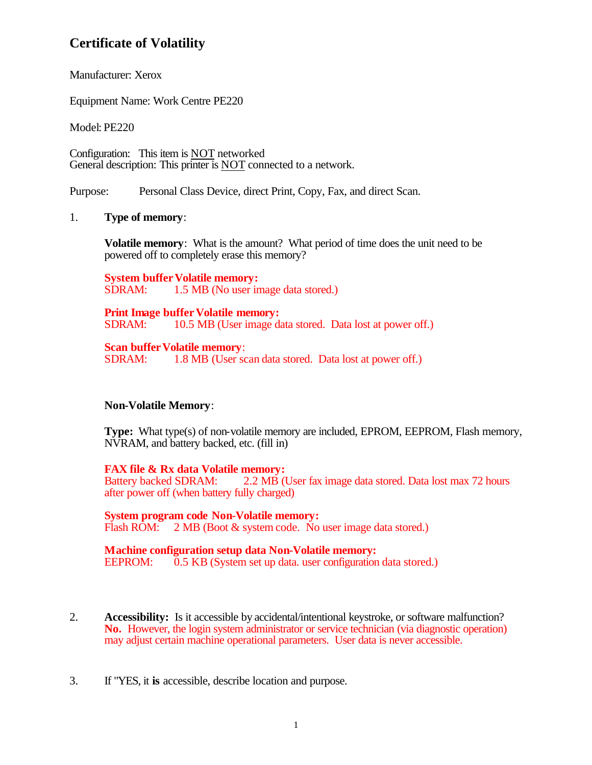# **Certificate of Volatility**

Manufacturer: Xerox

Equipment Name: Work Centre PE220

Model: PE220

Configuration: This item is NOT networked General description: This printer is NOT connected to a network.

Purpose: Personal Class Device, direct Print, Copy, Fax, and direct Scan.

### 1. **Type of memory**:

**Volatile memory**: What is the amount? What period of time does the unit need to be powered off to completely erase this memory?

**System buffer Volatile memory:**<br>SDRAM: 1.5 MB (No user in 1.5 MB (No user image data stored.)

# **Print Image buffer Volatile memory:**<br>SDRAM: 10.5 MB (User image da

10.5 MB (User image data stored. Data lost at power off.)

**Scan buffer Volatile memory:** 

SDRAM: 1.8 MB (User scan data stored. Data lost at power off.)

## **Non-Volatile Memory**:

**Type:** What type(s) of non-volatile memory are included, EPROM, EEPROM, Flash memory, NVRAM, and battery backed, etc. (fill in)

**FAX file & Rx data Volatile memory:**<br>Battery backed SDRAM: 2.2 MB (U 2.2 MB (User fax image data stored. Data lost max 72 hours after power off (when battery fully charged)

**System program code Non-Volatile memory:** Flash ROM: 2 MB (Boot & system code. No user image data stored.)

### **Machine configuration setup data Non-Volatile memory:** EEPROM: 0.5 KB (System set up data. user configuration data stored.)

- 2. **Accessibility:** Is it accessible by accidental/intentional keystroke, or software malfunction? **No.** However, the login system administrator or service technician (via diagnostic operation) may adjust certain machine operational parameters. User data is never accessible.
- 3. If "YES, it **is** accessible, describe location and purpose.